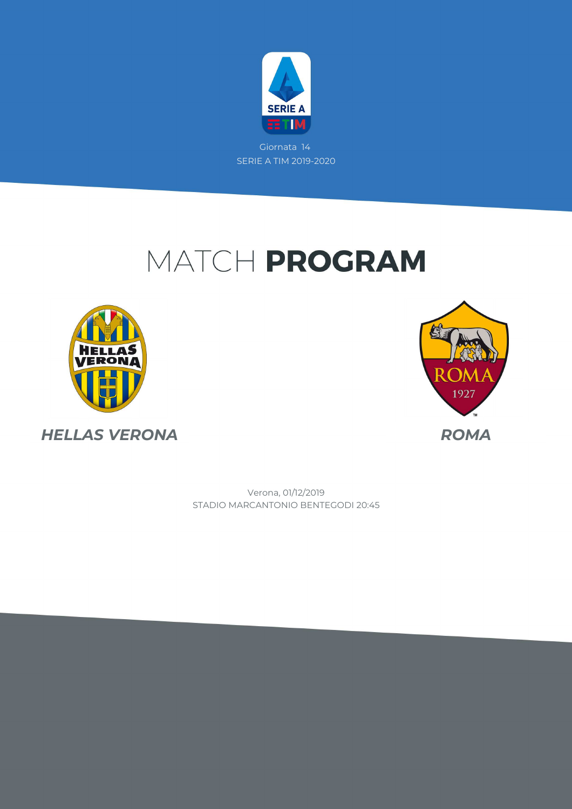

Giornata 14 SERIE A TIM 2019-2020

# MATCH PROGRAM





STADIO MARCANTONIO BENTEGODI 20:45 Verona, 01/12/2019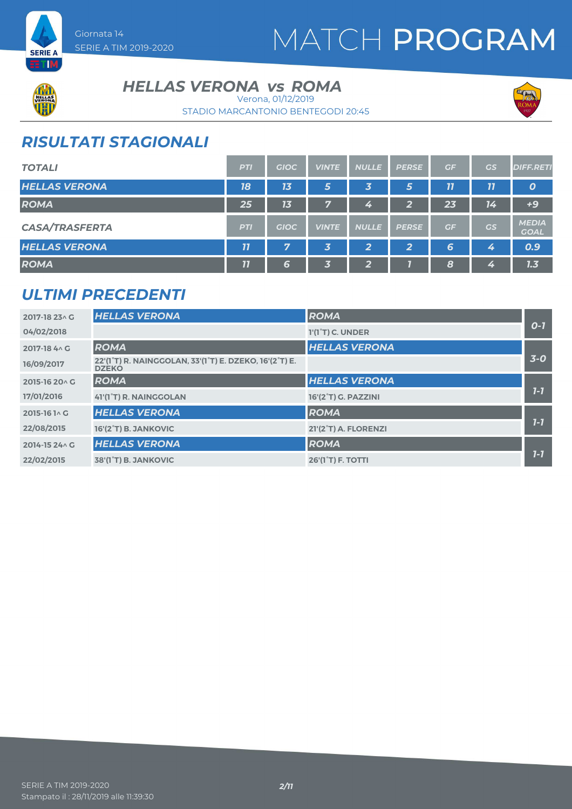

**HELLAS VERONA vs ROMA** 

STADIO MARCANTONIO BENTEGODI 20:45 Verona, 01/12/2019



## *RISULTATI STAGIONALI*

Giornata 14

SERIE A TIM 2019-2020

| <b>TOTALI</b>         | <b>PTI</b>         | <b>GIOC</b> | <b>VINTE</b> | <b>NULLE</b> | <b>PERSE</b> | GF | <b>GS</b> | <b>DIFF.RETI</b>            |
|-----------------------|--------------------|-------------|--------------|--------------|--------------|----|-----------|-----------------------------|
| <b>HELLAS VERONA</b>  | 18                 | 13          | 5            | 3            | 5            | 77 | 11        | $\boldsymbol{o}$            |
| <b>ROMA</b>           | 25                 | 13          | 7            | 4            | ີ<br>∠       | 23 | 14        | $+9$                        |
| <b>CASA/TRASFERTA</b> | <b>PTI</b>         | <b>GIOC</b> | <b>VINTE</b> | <b>NULLE</b> | <b>PERSE</b> | GF | GS        | <b>MEDIA</b><br><b>GOAL</b> |
| <b>HELLAS VERONA</b>  | $\overline{\bf 7}$ | 7           | $\vert$ 3,   | 2            | 2            | 6  | 4         | 0.9                         |
| <b>ROMA</b>           | 11                 | 6           | 3            | 2            |              | 8  | 4         | 1.3                         |

### *ULTIMI PRECEDENTI*

| 2017-18 23 \ G | <b>HELLAS VERONA</b>                                                                                          | <b>ROMA</b>                         |         |
|----------------|---------------------------------------------------------------------------------------------------------------|-------------------------------------|---------|
| 04/02/2018     |                                                                                                               | $1'(1^{\circ}T)$ C. UNDER           | $O-I$   |
| 2017-18 4 \ G  | <b>ROMA</b>                                                                                                   | <b>HELLAS VERONA</b>                |         |
| 16/09/2017     | 22'(1 <sup>°</sup> T) R. NAINGGOLAN, 33'(1 <sup>°</sup> T) E. DZEKO, 16'(2 <sup>°</sup> T) E.<br><b>DZEKO</b> |                                     | $3-0$   |
| 2015-16 20 A G | <b>ROMA</b>                                                                                                   | <b>HELLAS VERONA</b>                |         |
| 17/01/2016     | 41'(1°T) R. NAINGGOLAN                                                                                        | 16'(2°T) G. PAZZINI                 | $7 - 7$ |
| 2015-16 1 \ G  | <b>HELLAS VERONA</b>                                                                                          | <b>ROMA</b>                         |         |
| 22/08/2015     | 16'(2°T) B. JANKOVIC                                                                                          | 21'(2°T) A. FLORENZI                | $7-7$   |
| 2014-15 24 \ G | <b>HELLAS VERONA</b>                                                                                          | <b>ROMA</b>                         |         |
| 22/02/2015     | 38'(1 <sup>°</sup> T) B. JANKOVIC                                                                             | <b>26'(1<sup>°</sup>T) F. TOTTI</b> | $7 - 7$ |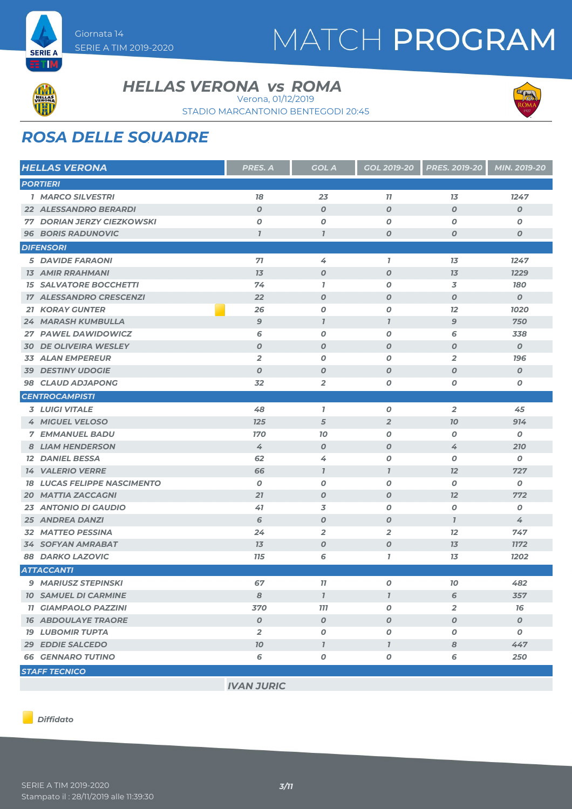



ETM

#### **HELLAS VERONA vs ROMA**

Verona, 01/12/2019

STADIO MARCANTONIO BENTEGODI 20:45



## *ROSA DELLE SQUADRE*

| <b>HELLAS VERONA</b>               | PRES. A          | <b>GOL A</b>        | <b>GOL 2019-20</b>          | <b>PRES. 2019-20</b> | MIN. 2019-20     |
|------------------------------------|------------------|---------------------|-----------------------------|----------------------|------------------|
| <b>PORTIERI</b>                    |                  |                     |                             |                      |                  |
| <b>1 MARCO SILVESTRI</b>           | 18               | 23                  | 11                          | 13                   | 1247             |
| <b>22 ALESSANDRO BERARDI</b>       | $\boldsymbol{O}$ | $\boldsymbol{O}$    | $\boldsymbol{O}$            | $\boldsymbol{O}$     | O                |
| <b>77 DORIAN JERZY CIEZKOWSKI</b>  | O                | 0                   | $\boldsymbol{O}$            | O                    | 0                |
| <b>96 BORIS RADUNOVIC</b>          | $\overline{1}$   | $\overline{1}$      | $\boldsymbol{O}$            | $\boldsymbol{O}$     | O                |
| <b>DIFENSORI</b>                   |                  |                     |                             |                      |                  |
| <b>5 DAVIDE FARAONI</b>            | 71               | 4                   | $\mathbf{I}$                | 13                   | 1247             |
| <b>13 AMIR RRAHMANI</b>            | 13               | $\boldsymbol{0}$    | $\boldsymbol{O}$            | 13                   | 1229             |
| <b>15 SALVATORE BOCCHETTI</b>      | 74               | $\mathbf{7}$        | O                           | 3                    | <b>180</b>       |
| <b>17 ALESSANDRO CRESCENZI</b>     | 22               | $\boldsymbol{0}$    | $\boldsymbol{O}$            | $\boldsymbol{O}$     | $\boldsymbol{o}$ |
| <b>21 KORAY GUNTER</b>             | 26               | 0                   | $\boldsymbol{O}$            | 12                   | 1020             |
| <b>24 MARASH KUMBULLA</b>          | $\mathbf{9}$     | $\overline{1}$      | $\overline{1}$              | $\mathcal{G}$        | 750              |
| 27 PAWEL DAWIDOWICZ                | 6                | O                   | O                           | 6                    | 338              |
| <b>30 DE OLIVEIRA WESLEY</b>       | $\boldsymbol{O}$ | $\boldsymbol{o}$    | $\boldsymbol{O}$            | $\boldsymbol{O}$     | 0                |
| <b>33 ALAN EMPEREUR</b>            | $\overline{2}$   | 0                   | $\boldsymbol{O}$            | $\overline{2}$       | <b>196</b>       |
| <b>39 DESTINY UDOGIE</b>           | $\boldsymbol{O}$ | $\boldsymbol{O}$    | $\boldsymbol{O}$            | $\boldsymbol{O}$     | $\boldsymbol{o}$ |
| <b>98 CLAUD ADJAPONG</b>           | 32               | $\overline{2}$      | 0                           | 0                    | 0                |
| <b>CENTROCAMPISTI</b>              |                  |                     |                             |                      |                  |
| <b>3 LUIGI VITALE</b>              | 48               | 1                   | 0                           | $\overline{2}$       | 45               |
| <b>4 MIGUEL VELOSO</b>             | 125              | 5                   | $\overline{2}$              | 70                   | 914              |
| <b>7 EMMANUEL BADU</b>             | <b>170</b>       | 10                  | O                           | O                    | 0                |
| <b>8 LIAM HENDERSON</b>            | 4                | $\boldsymbol{0}$    | $\boldsymbol{O}$            | 4                    | 210              |
| <b>12 DANIEL BESSA</b>             | 62               | 4                   | 0                           | O                    | 0                |
| <b>14 VALERIO VERRE</b>            | 66               | $\mathbf{I}$        | $\overline{I}$              | 12                   | 727              |
| <b>18 LUCAS FELIPPE NASCIMENTO</b> | $\boldsymbol{O}$ | 0                   | $\boldsymbol{O}$            | O                    | 0                |
| <b>20 MATTIA ZACCAGNI</b>          | 21               | $\boldsymbol{o}$    | $\boldsymbol{O}$            | 12                   | 772              |
| <b>23 ANTONIO DI GAUDIO</b>        | 41               | 3                   | O                           | 0                    | 0                |
| <b>25 ANDREA DANZI</b>             | 6                | $\boldsymbol{O}$    | $\boldsymbol{O}$            | $\mathbf{7}$         | 4                |
| <b>32 MATTEO PESSINA</b>           | 24               | $\overline{2}$      | $\overline{2}$              | 12                   | 747              |
| <b>34 SOFYAN AMRABAT</b>           | 13               | O                   | $\boldsymbol{O}$            | 13                   | <b>1172</b>      |
| <b>88 DARKO LAZOVIC</b>            | <b>115</b>       | 6                   | $\overline{1}$              | 13                   | 1202             |
| <b>ATTACCANTI</b>                  |                  |                     |                             |                      |                  |
| 9 MARIUSZ STEPINSKI                | 67               | 11                  | 0                           | 10                   | 482              |
| <b>10 SAMUEL DI CARMINE</b>        | 8                | $\boldsymbol{\eta}$ | $\boldsymbol{\overline{I}}$ | 6                    | 357              |
| <b>11 GIAMPAOLO PAZZINI</b>        | 370              | 777                 | O                           | 2                    | 16               |
| <b>16 ABDOULAYE TRAORE</b>         | $\boldsymbol{O}$ | $\pmb{o}$           | $\boldsymbol{o}$            | $\boldsymbol{o}$     | $\pmb{o}$        |
| <b>19 LUBOMIR TUPTA</b>            | $\overline{2}$   | $\pmb{o}$           | O                           | O                    | $\pmb{o}$        |
| 29 EDDIE SALCEDO                   | 10               | $\mathbf{I}$        | $\mathbf{I}$                | 8                    | 447              |
| <b>66 GENNARO TUTINO</b>           | 6                | 0                   | 0                           | 6                    | 250              |
| <b>STAFF TECNICO</b>               |                  |                     |                             |                      |                  |

*IVAN JURIC*

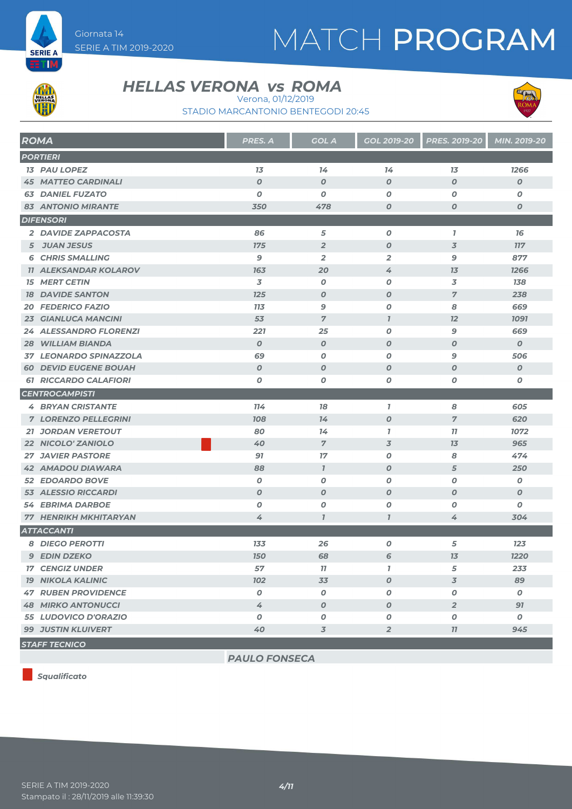



**ETM** 

#### **HELLAS VERONA vs ROMA**

Verona, 01/12/2019

STADIO MARCANTONIO BENTEGODI 20:45



| <b>ROMA</b>                   | PRES. A          | <b>GOL A</b>     | GOL 2019-20      | <b>PRES. 2019-20</b> | MIN. 2019-20     |
|-------------------------------|------------------|------------------|------------------|----------------------|------------------|
| <b>PORTIERI</b>               |                  |                  |                  |                      |                  |
| <b>13 PAU LOPEZ</b>           | 13               | 14               | 14               | 13                   | 1266             |
| <b>45 MATTEO CARDINALI</b>    | $\boldsymbol{0}$ | $\boldsymbol{O}$ | $\boldsymbol{O}$ | $\boldsymbol{O}$     | $\boldsymbol{O}$ |
| <b>63 DANIEL FUZATO</b>       | $\boldsymbol{0}$ | $\boldsymbol{o}$ | 0                | 0                    | 0                |
| <b>83 ANTONIO MIRANTE</b>     | 350              | 478              | $\boldsymbol{O}$ | 0                    | $\boldsymbol{o}$ |
| <b>DIFENSORI</b>              |                  |                  |                  |                      |                  |
| 2 DAVIDE ZAPPACOSTA           | 86               | 5                | $\boldsymbol{o}$ | $\overline{1}$       | 16               |
| 5 JUAN JESUS                  | 175              | $\overline{2}$   | $\boldsymbol{O}$ | $\overline{3}$       | <b>117</b>       |
| <b>6 CHRIS SMALLING</b>       | 9                | $\overline{2}$   | $\overline{2}$   | 9                    | 877              |
| <b>11 ALEKSANDAR KOLAROV</b>  | 163              | 20               | 4                | 13                   | 1266             |
| <b>15 MERT CETIN</b>          | 3                | 0                | 0                | 3                    | 138              |
| <b>18 DAVIDE SANTON</b>       | 125              | $\boldsymbol{0}$ | $\boldsymbol{O}$ | $\overline{7}$       | 238              |
| <b>20 FEDERICO FAZIO</b>      | <b>713</b>       | $\mathbf{9}$     | $\boldsymbol{o}$ | 8                    | 669              |
| <b>23 GIANLUCA MANCINI</b>    | 53               | $\overline{7}$   | $\mathbf{7}$     | 12                   | <b>1091</b>      |
| <b>24 ALESSANDRO FLORENZI</b> | 221              | 25               | $\boldsymbol{o}$ | 9                    | 669              |
| <b>28 WILLIAM BIANDA</b>      | $\boldsymbol{0}$ | $\boldsymbol{0}$ | $\boldsymbol{O}$ | $\boldsymbol{O}$     | $\boldsymbol{0}$ |
| 37 LEONARDO SPINAZZOLA        | 69               | $\boldsymbol{o}$ | 0                | 9                    | 506              |
| <b>60 DEVID EUGENE BOUAH</b>  | $\boldsymbol{0}$ | $\boldsymbol{0}$ | $\boldsymbol{O}$ | $\boldsymbol{O}$     | $\boldsymbol{0}$ |
| <b>61 RICCARDO CALAFIORI</b>  | 0                | 0                | $\boldsymbol{o}$ | 0                    | O                |
| <b>CENTROCAMPISTI</b>         |                  |                  |                  |                      |                  |
| <b>4 BRYAN CRISTANTE</b>      | 114              | 78               | $\mathbf{I}$     | 8                    | 605              |
| <b>7 LORENZO PELLEGRINI</b>   | 708              | 14               | $\boldsymbol{O}$ | $\overline{7}$       | 620              |
| <b>21 JORDAN VERETOUT</b>     | 80               | 14               | $\mathbf{I}$     | 11                   | 1072             |
| 22 NICOLO' ZANIOLO            | 40               | $\overline{7}$   | $\overline{3}$   | 13                   | 965              |
| <b>27 JAVIER PASTORE</b>      | 91               | 17               | 0                | 8                    | 474              |
| <b>42 AMADOU DIAWARA</b>      | 88               | $\mathcal{I}$    | $\boldsymbol{O}$ | 5                    | 250              |
| <b>52 EDOARDO BOVE</b>        | $\boldsymbol{0}$ | $\boldsymbol{O}$ | $\boldsymbol{o}$ | O                    | 0                |
| <b>53 ALESSIO RICCARDI</b>    | $\boldsymbol{0}$ | $\boldsymbol{O}$ | $\boldsymbol{O}$ | $\boldsymbol{O}$     | $\boldsymbol{O}$ |
| <b>54 EBRIMA DARBOE</b>       | 0                | $\boldsymbol{o}$ | 0                | 0                    | 0                |
| <b>77 HENRIKH MKHITARYAN</b>  | 4                | $\overline{I}$   | $\overline{I}$   | 4                    | 304              |
| <b>ATTACCANTI</b>             |                  |                  |                  |                      |                  |
| <b>8 DIEGO PEROTTI</b>        | 133              | 26               | $\pmb{o}$        | 5                    | 123              |
| <b>9 EDIN DZEKO</b>           | <b>150</b>       | 68               | 6                | 13                   | 1220             |
| <b>17 CENGIZ UNDER</b>        | 57               | 77               | $\mathbf{I}$     | 5                    | 233              |
| <b>19 NIKOLA KALINIC</b>      | <b>102</b>       | 33               | $\boldsymbol{o}$ | 3                    | 89               |
| <b>47 RUBEN PROVIDENCE</b>    | $\boldsymbol{0}$ | $\pmb{o}$        | O                | O                    | 0                |
| <b>48 MIRKO ANTONUCCI</b>     | 4                | $\boldsymbol{o}$ | $\boldsymbol{o}$ | $\overline{2}$       | 91               |
| 55 LUDOVICO D'ORAZIO          | 0                | 0                | 0                | 0                    | 0                |
| <b>99 JUSTIN KLUIVERT</b>     | 40               | $\overline{3}$   | $\overline{2}$   | 11                   | 945              |
| <b>STAFF TECNICO</b>          |                  |                  |                  |                      |                  |

*Squalificato*

*PAULO FONSECA*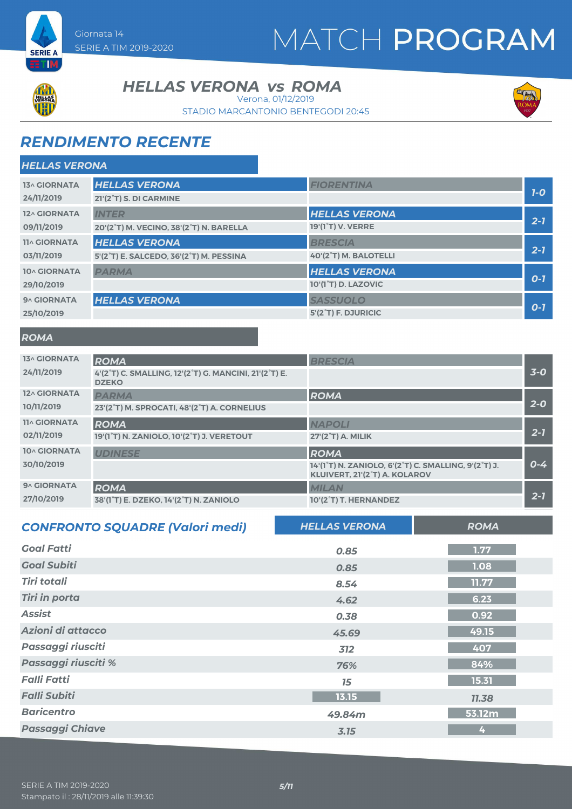



**SERIE A** ETIM

#### **HELLAS VERONA vs ROMA**

Verona, 01/12/2019

STADIO MARCANTONIO BENTEGODI 20:45



### *RENDIMENTO RECENTE*

| <b>HELLAS VERONA</b> |                                         |                                  |         |
|----------------------|-----------------------------------------|----------------------------------|---------|
| 13^ GIORNATA         | <b>HELLAS VERONA</b>                    | <b>FIORENTINA</b>                |         |
| 24/11/2019           | 21'(2°T) S. DI CARMINE                  |                                  | $7-0$   |
| 12^ GIORNATA         | <b>INTER</b>                            | <b>HELLAS VERONA</b>             |         |
| 09/11/2019           | 20'(2°T) M. VECINO, 38'(2°T) N. BARELLA | 19'(1 <sup>°</sup> T) V. VERRE   | $2 - 7$ |
| <b>11^ GIORNATA</b>  | <b>HELLAS VERONA</b>                    | <b>BRESCIA</b>                   |         |
| 03/11/2019           | 5'(2°T) E. SALCEDO, 36'(2°T) M. PESSINA | 40'(2°T) M. BALOTELLI            | $2 - 1$ |
| 10^ GIORNATA         | <b>PARMA</b>                            | <b>HELLAS VERONA</b>             |         |
| 29/10/2019           |                                         | 10'(1 <sup>°</sup> T) D. LAZOVIC | $O-I$   |
| 9^ GIORNATA          | <b>HELLAS VERONA</b>                    | <b>SASSUOLO</b>                  |         |
| 25/10/2019           |                                         | 5'(2 <sup>°</sup> T) F. DJURICIC | $O-7$   |

#### *ROMA*

| <b>13^ GIORNATA</b> | <b>ROMA</b>                                                           | <b>BRESCIA</b>                                                                                                               |         |
|---------------------|-----------------------------------------------------------------------|------------------------------------------------------------------------------------------------------------------------------|---------|
| 24/11/2019          | 4'(2°T) C. SMALLING, 12'(2°T) G. MANCINI, 21'(2°T) E.<br><b>DZEKO</b> |                                                                                                                              | $3-0$   |
| 12^ GIORNATA        | <b>PARMA</b>                                                          | ROMA                                                                                                                         |         |
| 10/11/2019          | 23'(2°T) M. SPROCATI, 48'(2°T) A. CORNELIUS                           |                                                                                                                              | $2 - 0$ |
| <b>11^ GIORNATA</b> | <b>ROMA</b>                                                           | <b>NAPOLI</b>                                                                                                                |         |
| 02/11/2019          | 19'(1°T) N. ZANIOLO, 10'(2°T) J. VERETOUT                             | $27'(2°T)$ A. MILIK                                                                                                          | $2 - 7$ |
| 10^ GIORNATA        | <b>UDINESE</b>                                                        | ROMA                                                                                                                         |         |
| 30/10/2019          |                                                                       | 14'(1 <sup>°</sup> T) N. ZANIOLO, 6'(2 <sup>°</sup> T) C. SMALLING, 9'(2 <sup>°</sup> T) J.<br>KLUIVERT, 21'(2°T) A. KOLAROV | $0 - 4$ |
| 9^ GIORNATA         | <b>ROMA</b>                                                           | <b>MILAN</b>                                                                                                                 |         |
| 27/10/2019          | 38'(1 <sup>°</sup> T) E. DZEKO, 14'(2 <sup>°</sup> T) N. ZANIOLO      | 10'(2°T) T. HERNANDEZ                                                                                                        | $2 - 7$ |

| <b>CONFRONTO SQUADRE (Valori medi)</b> | <b>HELLAS VERONA</b> | <b>ROMA</b> |
|----------------------------------------|----------------------|-------------|
| <b>Goal Fatti</b>                      | 0.85                 | 1.77        |
| <b>Goal Subiti</b>                     | 0.85                 | 1.08        |
| <b>Tiri totali</b>                     | 8.54                 | 11.77       |
| <b>Tiri in porta</b>                   | 4.62                 | 6.23        |
| <b>Assist</b>                          | 0.38                 | 0.92        |
| Azioni di attacco                      | 45.69                | 49.15       |
| Passaggi riusciti                      | 312                  | 407         |
| Passaggi riusciti %                    | 76%                  | 84%         |
| <b>Falli Fatti</b>                     | 15                   | 15.31       |
| <b>Falli Subiti</b>                    | 13.15                | 11.38       |
| <b>Baricentro</b>                      | 49.84m               | 53.12m      |
| <b>Passaggi Chiave</b>                 | 3.15                 | 4           |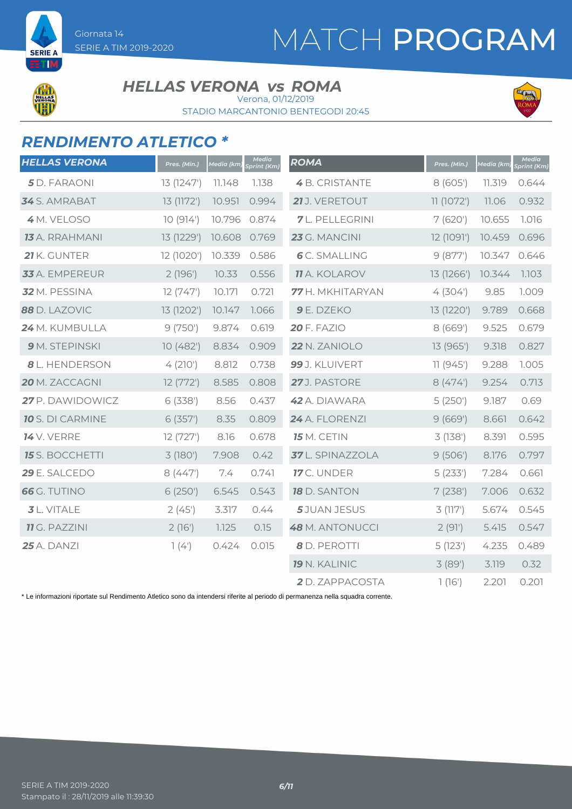

#### **HELLAS VERONA vs ROMA**

Verona, 01/12/2019

STADIO MARCANTONIO BENTEGODI 20:45



### *RENDIMENTO ATLETICO \**

| <b>HELLAS VERONA</b>    | Pres. (Min.) | Media (km) | Media<br>Sprint (Km) | <b>ROMA</b>            | Pres. (Min.) | Media (km | Media<br>Sprint (Km) |
|-------------------------|--------------|------------|----------------------|------------------------|--------------|-----------|----------------------|
| 5 D. FARAONI            | 13 (1247')   | 11.148     | 1.138                | 4 B. CRISTANTE         | 8 (605')     | 11.319    | 0.644                |
| 34 S. AMRABAT           | 13 (1172')   | 10.951     | 0.994                | 21 J. VERETOUT         | 11 (1072')   | 11.06     | 0.932                |
| 4 M. VELOSO             | 10(914)      | 10.796     | 0.874                | <b>7</b> L. PELLEGRINI | 7(620)       | 10.655    | 1.016                |
| <b>13</b> A. RRAHMANI   | 13 (1229')   | 10.608     | 0.769                | 23 G. MANCINI          | 12 (1091')   | 10.459    | 0.696                |
| 21 K. GUNTER            | 12 (1020')   | 10.339     | 0.586                | <b>6</b> C. SMALLING   | 9(877)       | 10.347    | 0.646                |
| 33 A. EMPEREUR          | 2(196)       | 10.33      | 0.556                | <b>11</b> A. KOLAROV   | 13 (1266')   | 10.344    | 1.103                |
| 32 M. PESSINA           | 12(747)      | 10.171     | 0.721                | 77 H. MKHITARYAN       | 4(304)       | 9.85      | 1.009                |
| 88 D. LAZOVIC           | 13 (1202')   | 10.147     | 1.066                | 9 E. DZEKO             | 13 (1220')   | 9.789     | 0.668                |
| 24 M. KUMBULLA          | 9(750)       | 9.874      | 0.619                | <b>20 F. FAZIO</b>     | 8(669)       | 9.525     | 0.679                |
| 9 M. STEPINSKI          | 10(482)      | 8.834      | 0.909                | 22 N. ZANIOLO          | 13 (965')    | 9.318     | 0.827                |
| <b>8</b> L. HENDERSON   | 4(210)       | 8.812      | 0.738                | 99 J. KLUIVERT         | 11(945)      | 9.288     | 1.005                |
| 20 M. ZACCAGNI          | 12(772)      | 8.585      | 0.808                | 27J. PASTORE           | 8(474)       | 9.254     | 0.713                |
| 27 P. DAWIDOWICZ        | 6(338)       | 8.56       | 0.437                | 42 A. DIAWARA          | 5(250)       | 9.187     | 0.69                 |
| <b>10</b> S. DI CARMINE | 6(357)       | 8.35       | 0.809                | 24 A. FLORENZI         | 9(669)       | 8.661     | 0.642                |
| <b>14</b> V. VERRE      | 12(727)      | 8.16       | 0.678                | <b>15</b> M. CETIN     | 3(138)       | 8.391     | 0.595                |
| <b>15</b> S. BOCCHETTI  | 3(180)       | 7.908      | 0.42                 | 37 L. SPINAZZOLA       | 9(506)       | 8.176     | 0.797                |
| 29 E. SALCEDO           | 8(447)       | 7.4        | 0.741                | 17 C. UNDER            | 5(233)       | 7.284     | 0.661                |
| <b>66</b> G. TUTINO     | 6 (250')     | 6.545      | 0.543                | <b>18</b> D. SANTON    | 7(238)       | 7.006     | 0.632                |
| <b>3</b> L. VITALE      | 2(45)        | 3.317      | 0.44                 | 5 JUAN JESUS           | 3(117)       | 5.674     | 0.545                |
| <b>11</b> G. PAZZINI    | 2(16')       | 1.125      | 0.15                 | 48 M. ANTONUCCI        | 2(91)        | 5.415     | 0.547                |
| <b>25</b> A. DANZI      | 1(4)         | 0.424      | 0.015                | 8 D. PEROTTI           | 5(123)       | 4.235     | 0.489                |
|                         |              |            |                      | <b>19 N. KALINIC</b>   | 3(89)        | 3.119     | 0.32                 |
|                         |              |            |                      | 2 D. ZAPPACOSTA        | 1(16)        | 2.201     | 0.201                |

\* Le informazioni riportate sul Rendimento Atletico sono da intendersi riferite al periodo di permanenza nella squadra corrente.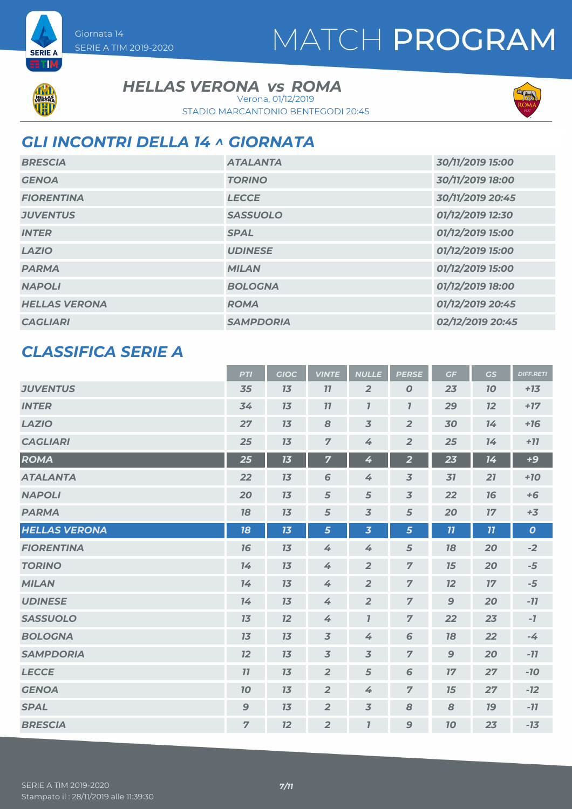

Giornata 14

SERIE A TIM 2019-2020

**HELLAS VERONA vs ROMA** 

STADIO MARCANTONIO BENTEGODI 20:45 Verona, 01/12/2019



### *GLI INCONTRI DELLA 14 ^ GIORNATA*

| <b>BRESCIA</b>       | <b>ATALANTA</b>  | 30/11/2019 15:00 |
|----------------------|------------------|------------------|
| <b>GENOA</b>         | <b>TORINO</b>    | 30/11/2019 18:00 |
| <b>FIORENTINA</b>    | <b>LECCE</b>     | 30/11/2019 20:45 |
| <b>JUVENTUS</b>      | <b>SASSUOLO</b>  | 01/12/2019 12:30 |
| <b>INTER</b>         | <b>SPAL</b>      | 01/12/2019 15:00 |
| <b>LAZIO</b>         | <b>UDINESE</b>   | 01/12/2019 15:00 |
| <b>PARMA</b>         | <b>MILAN</b>     | 01/12/2019 15:00 |
| <b>NAPOLI</b>        | <b>BOLOGNA</b>   | 01/12/2019 18:00 |
| <b>HELLAS VERONA</b> | <b>ROMA</b>      | 01/12/2019 20:45 |
| <b>CAGLIARI</b>      | <b>SAMPDORIA</b> | 02/12/2019 20:45 |

### *CLASSIFICA SERIE A*

|                      | <b>PTI</b>     | <b>GIOC</b> | <b>VINTE</b>   | <b>NULLE</b>                | <b>PERSE</b>            | GF           | <b>GS</b> | <b>DIFF.RETI</b> |
|----------------------|----------------|-------------|----------------|-----------------------------|-------------------------|--------------|-----------|------------------|
| <b>JUVENTUS</b>      | 35             | 13          | 11             | $\overline{2}$              | $\boldsymbol{O}$        | 23           | 10        | $+13$            |
| <b>INTER</b>         | 34             | 13          | 77             | $\boldsymbol{\overline{I}}$ | $\mathbf{7}$            | 29           | 12        | $+17$            |
| <b>LAZIO</b>         | 27             | 13          | 8              | $\overline{3}$              | $\overline{2}$          | 30           | 14        | $+16$            |
| <b>CAGLIARI</b>      | 25             | 13          | $\overline{7}$ | 4                           | $\overline{2}$          | 25           | 14        | $+77$            |
| <b>ROMA</b>          | 25             | 13          | $\overline{7}$ | 4                           | $\overline{\mathbf{2}}$ | 23           | 14        | $+9$             |
| <b>ATALANTA</b>      | 22             | 13          | 6              | 4                           | $\overline{3}$          | 31           | 21        | $+10$            |
| <b>NAPOLI</b>        | 20             | 13          | 5              | 5                           | $\overline{3}$          | 22           | 76        | $+6$             |
| <b>PARMA</b>         | 78             | 13          | 5              | $\overline{3}$              | 5                       | 20           | 17        | $+3$             |
| <b>HELLAS VERONA</b> | 18             | 13          | 5              | $\overline{\mathbf{3}}$     | 5                       | 11           | 11        | $\boldsymbol{o}$ |
| <b>FIORENTINA</b>    | 76             | 13          | 4              | 4                           | 5                       | 18           | 20        | $-2$             |
| <b>TORINO</b>        | 14             | 13          | 4              | $\overline{2}$              | $\overline{7}$          | 15           | 20        | $-5$             |
| <b>MILAN</b>         | 14             | 13          | 4              | $\overline{2}$              | $\overline{7}$          | 12           | 17        | $-5$             |
| <b>UDINESE</b>       | 14             | 13          | 4              | $\overline{2}$              | $\overline{7}$          | 9            | 20        | $-11$            |
| <b>SASSUOLO</b>      | 13             | 12          | 4              | $\mathbf{7}$                | $\overline{7}$          | 22           | 23        | $-7$             |
| <b>BOLOGNA</b>       | 13             | 13          | $\overline{3}$ | 4                           | 6                       | 18           | 22        | $-4$             |
| <b>SAMPDORIA</b>     | 12             | 13          | $\overline{3}$ | $\overline{3}$              | $\overline{7}$          | $\mathbf{9}$ | 20        | $-77$            |
| <b>LECCE</b>         | 11             | 13          | $\overline{2}$ | 5                           | 6                       | 17           | 27        | $-10$            |
| <b>GENOA</b>         | 10             | 13          | $\overline{2}$ | 4                           | $\overline{7}$          | 15           | 27        | $-12$            |
| <b>SPAL</b>          | 9              | 13          | $\overline{2}$ | $\overline{3}$              | 8                       | 8            | <b>19</b> | $-77$            |
| <b>BRESCIA</b>       | $\overline{7}$ | 12          | $\overline{2}$ | $\mathbf{I}$                | 9                       | 70           | 23        | $-13$            |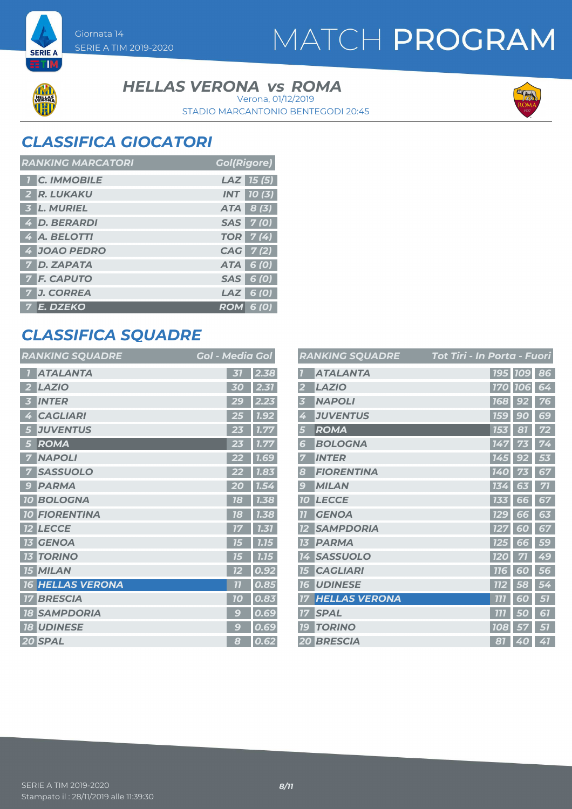

#### **HELLAS VERONA vs ROMA**

STADIO MARCANTONIO BENTEGODI 20:45 Verona, 01/12/2019



### *CLASSIFICA GIOCATORI*

SERIE A TIM 2019-2020

Giornata 14

| <b>RANKING MARCATORI</b> | <b>Gol(Rigore)</b> |
|--------------------------|--------------------|
| <b>C. IMMOBILE</b>       | $LAZ$ 15 (5)       |
| 2 R. LUKAKU              | <b>INT</b> 10(3)   |
| 3 L. MURIEL              | ATA 8 (3)          |
| 4 D. BERARDI             | SAS 7(0)           |
| 4 A. BELOTTI             | <b>TOR</b> 7(4)    |
| 4 JOAO PEDRO             | CAG 7(2)           |
| 7 D. ZAPATA              | ATA 6 (0)          |
| <b>7 F. CAPUTO</b>       | SAS 6 (0)          |
| 7 J. CORREA              | $LAZ$ 6 (0)        |
| 7 E. DZEKO               | <b>ROM 6 (0)</b>   |

### *CLASSIFICA SQUADRE*

| <b>RANKING SQUADRE</b>  | <b>Gol - Media Gol</b>            |
|-------------------------|-----------------------------------|
| <b>ATALANTA</b>         | 2.38<br>31                        |
| <b>LAZIO</b>            | 2.31                              |
| 2                       | 30                                |
| <b>INTER</b>            | 2.23                              |
| 3                       | 29                                |
| <b>CAGLIARI</b>         | 7.92                              |
| 4                       | 25                                |
| <b>JUVENTUS</b>         | 1.77                              |
| 5                       | 23                                |
| <b>ROMA</b>             | 23                                |
| 5                       | 1.77                              |
| <b>NAPOLI</b>           | 22                                |
| 7                       | <b>7.69</b>                       |
| <b>SASSUOLO</b>         | 1.83                              |
| <b>PARMA</b>            | 20                                |
| 9                       | 1.54                              |
| <b>10 BOLOGNA</b>       | 1.38<br>18                        |
| <b>10 FIORENTINA</b>    | 1.38<br>18                        |
| <b>LECCE</b>            | 7.31                              |
| $12 \overline{ }$       | 17                                |
| <b>GENOA</b>            | 7.15                              |
| 13                      | 75                                |
| <b>TORINO</b>           | 1.15                              |
| <b>13</b>               | 75                                |
| <b>15 MILAN</b>         | 0.92<br>72                        |
| <b>16 HELLAS VERONA</b> | $\overline{\overline{1}}$<br>0.85 |
| <b>BRESCIA</b>          | 0.83                              |
| $17\,$                  | 70                                |
| <b>SAMPDORIA</b>        | 0.69                              |
| <b>18</b>               | g                                 |
| <b>18 UDINESE</b>       | 0.69<br>g                         |
| 20 SPAL                 | 0.62<br>8                         |

|                         | <b>RANKING SQUADRE</b> | Tot Tiri - In Porta - Fuori |               |    |
|-------------------------|------------------------|-----------------------------|---------------|----|
|                         | <b>ATALANTA</b>        |                             | 195 109       | 86 |
| 2                       | <b>LAZIO</b>           | <b>170</b>                  | <b>106</b>    | 64 |
| 3                       | <b>NAPOLI</b>          | <b>768</b>                  | 92            | 76 |
| 4                       | <b>JUVENTUS</b>        | 159                         | 90            | 69 |
| $\overline{\mathbf{5}}$ | ROMA                   | 153                         | 81            | 72 |
| 6                       | <b>BOLOGNA</b>         | 147                         | 73            | 74 |
| 7                       | <b>INTER</b>           | 145                         | 92            | 53 |
| 8                       | <b>FIORENTINA</b>      | 140                         |               | 67 |
| $\boldsymbol{g}$        | <b>MILAN</b>           | 134                         | 63            | 71 |
| <b>10</b>               | <b>LECCE</b>           | 133                         | 66            | 67 |
| $\overline{1}$          | <b>GENOA</b>           | <b>129</b>                  | 66            | 63 |
|                         | <b>SAMPDORIA</b>       | 127                         | 60            | 67 |
| 13                      | <b>PARMA</b>           | <b>125</b>                  | 66            | 59 |
| 14                      | <b>SASSUOLO</b>        | <b>120</b>                  | 71            | 49 |
| <b>15</b>               | <b>CAGLIARI</b>        | <b>116</b>                  | 60            | 56 |
| 76                      | <b>UDINESE</b>         | <b>112</b>                  | 58            | 54 |
| 77                      | <b>HELLAS VERONA</b>   | זוז                         | 6<br>$\omega$ | 57 |
| 17                      | <b>SPAL</b>            | 777                         | 50            | 67 |
| 19                      | <b>TORINO</b>          | 108                         | 57            | 51 |
|                         | <b>20 BRESCIA</b>      | 81                          | 40            | 41 |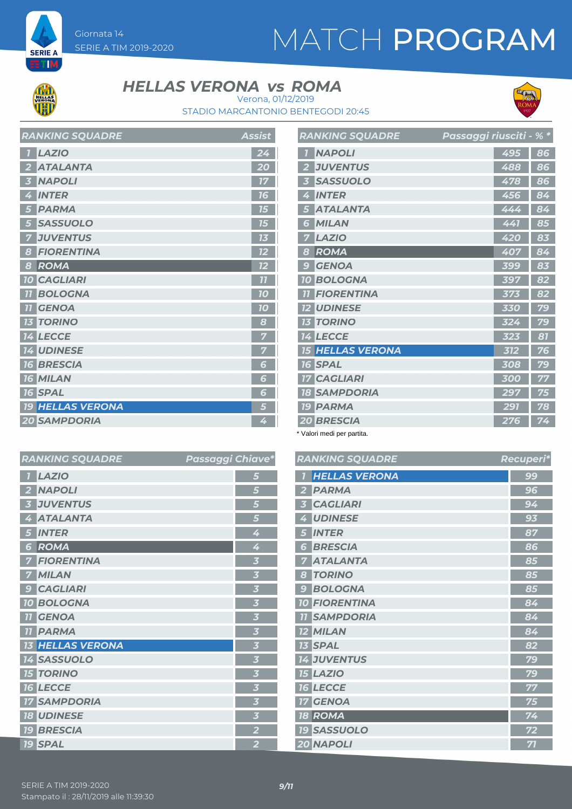

Giornata 14

SERIE A TIM 2019-2020

### **HELLAS VERONA vs ROMA**



STADIO MARCANTONIO BENTEGODI 20:45 Verona, 01/12/2019

| <b>RANKING SQUADRE</b>  | Assist         |
|-------------------------|----------------|
| <b>LAZIO</b>            | 24             |
| <b>ATALANTA</b>         | 20             |
| <b>NAPOLI</b>           | 17             |
| <b>INTER</b><br>4       | 16             |
| <b>PARMA</b>            | 15             |
| <b>SASSUOLO</b>         | 75             |
| <b>JUVENTUS</b>         | 13             |
| <b>FIORENTINA</b><br>8  | 12             |
| ROMA<br>8               | 12             |
| <b>10 CAGLIARI</b>      | 7 <sub>1</sub> |
| <b>BOLOGNA</b>          | 10             |
| <b>GENOA</b>            | 70             |
| <b>TORINO</b><br>13     | 8              |
| <b>14 LECCE</b>         | 7              |
| <b>14 UDINESE</b>       |                |
| <b>16 BRESCIA</b>       | 6              |
| <b>16 MILAN</b>         | 6              |
| <b>16 SPAL</b>          | 6              |
| <b>19 HELLAS VERONA</b> | 5              |
| <b>20 SAMPDORIA</b>     | 4              |

|                | <b>RANKING SQUADRE</b>  | Passaggi riusciti - % * |     |    |
|----------------|-------------------------|-------------------------|-----|----|
|                | <b>NAPOLI</b>           |                         | 495 | 86 |
| $\overline{2}$ | <b>JUVENTUS</b>         |                         | 488 | 86 |
| 3              | <b>SASSUOLO</b>         |                         | 478 | 86 |
| 4              | <b>INTER</b>            |                         | 456 | 84 |
| 5              | <b>ATALANTA</b>         |                         | 444 | 84 |
| 6              | <b>MILAN</b>            |                         | 441 | 85 |
| 7              | <b>LAZIO</b>            |                         | 420 | 83 |
| 8              | <b>ROMA</b>             |                         | 407 | 84 |
| 9              | <b>GENOA</b>            |                         | 399 | 83 |
|                | <b>10 BOLOGNA</b>       |                         | 397 | 82 |
| 11             | <b>FIORENTINA</b>       |                         | 373 | 82 |
|                | <b>12 UDINESE</b>       |                         | 330 | 79 |
|                | <b>13 TORINO</b>        |                         | 324 | 79 |
|                | <b>14 LECCE</b>         |                         | 323 | 81 |
|                | <b>15 HELLAS VERONA</b> |                         | 312 | 76 |
|                | <b>16 SPAL</b>          |                         | 308 | 79 |
|                | <b>17 CAGLIARI</b>      |                         | 300 | 77 |
|                | <b>18 SAMPDORIA</b>     |                         | 297 | 75 |
|                | <b>19 PARMA</b>         |                         | 291 | 78 |
|                | <b>20 BRESCIA</b>       |                         | 276 | 74 |

\* Valori medi per partita.

| <b>RANKING SQUADRE</b>              | Passaggi Chiave*        | <b>RANKIN</b>                 |
|-------------------------------------|-------------------------|-------------------------------|
| <b>LAZIO</b>                        | 5                       | <b>HEL</b>                    |
| <b>NAPOLI</b>                       | 5                       | <b>PAR</b>                    |
| <b>JUVENTUS</b>                     | 5                       | CAG                           |
| <b>ATALANTA</b><br>4                | 5                       | <b>UDII</b>                   |
| <b>INTER</b><br>5                   | 4                       | <b>INTE</b><br>5              |
| ROMA<br>6                           | 4                       | <b>BRE</b><br>6               |
| <b>FIORENTINA</b>                   | $\overline{\mathbf{3}}$ | <b>ATA</b>                    |
| <b>MILAN</b>                        | $\overline{\mathbf{3}}$ | <b>TOR</b><br>8               |
| <b>CAGLIARI</b><br>$\boldsymbol{9}$ | $\overline{\mathbf{3}}$ | <b>BOL</b><br>9               |
| <b>10 BOLOGNA</b>                   | $\overline{\mathbf{3}}$ | <b>10 FIOF</b>                |
| <b>GENOA</b><br>11                  | $\overline{\mathbf{3}}$ | <b>SAM</b><br>11              |
| <b>PARMA</b><br>11                  | $\overline{\mathbf{3}}$ | <b>12 MILA</b>                |
| <b>13 HELLAS VERONA</b>             | $\overline{\mathbf{3}}$ | <b>13 SPA</b>                 |
| <b>14 SASSUOLO</b>                  | $\overline{\mathbf{3}}$ | <b>14 JUV</b>                 |
| <b>15 TORINO</b>                    | 3                       | <b>15 LAZ</b>                 |
| <b>16 LECCE</b>                     | 3                       | <b>16 LEC</b>                 |
| <b>17 SAMPDORIA</b>                 | $\overline{\mathbf{3}}$ | <b>GEN</b><br>17 <sub>2</sub> |
| <b>18 UDINESE</b>                   | $\overline{\mathbf{3}}$ | ROM<br>18                     |
| <b>19 BRESCIA</b>                   | $\overline{\mathbf{2}}$ | <b>19 SAS</b>                 |
| <b>19 SPAL</b>                      | $\overline{2}$          | 20 NAP                        |

|                         | <b>RANKING SQUADRE</b> | Recuperi* |
|-------------------------|------------------------|-----------|
| $\overline{\mathbf{I}}$ | <b>HELLAS VERONA</b>   | 99        |
| $\overline{2}$          | <b>PARMA</b>           | 96        |
| $\overline{\mathbf{3}}$ | <b>CAGLIARI</b>        | 94        |
| 4                       | <b>UDINESE</b>         | 93        |
| 5                       | <b>INTER</b>           | 87        |
| 6                       | <b>BRESCIA</b>         | 86        |
| 7                       | <b>ATALANTA</b>        | 85        |
| 8                       | <b>TORINO</b>          | 85        |
| 9                       | <b>BOLOGNA</b>         | 85        |
|                         | <b>10 FIORENTINA</b>   | 84        |
|                         | <b>11 SAMPDORIA</b>    | 84        |
|                         | <b>12 MILAN</b>        | 84        |
|                         | <b>13 SPAL</b>         | 82        |
|                         | <b>14 JUVENTUS</b>     | 79        |
|                         | <b>15 LAZIO</b>        | 79        |
|                         | <b>16 LECCE</b>        | 77        |
|                         | <b>17 GENOA</b>        | 75        |
|                         | <b>18 ROMA</b>         | 74        |
|                         | <b>19 SASSUOLO</b>     | 72        |
|                         | 20 NAPOLI              | 71        |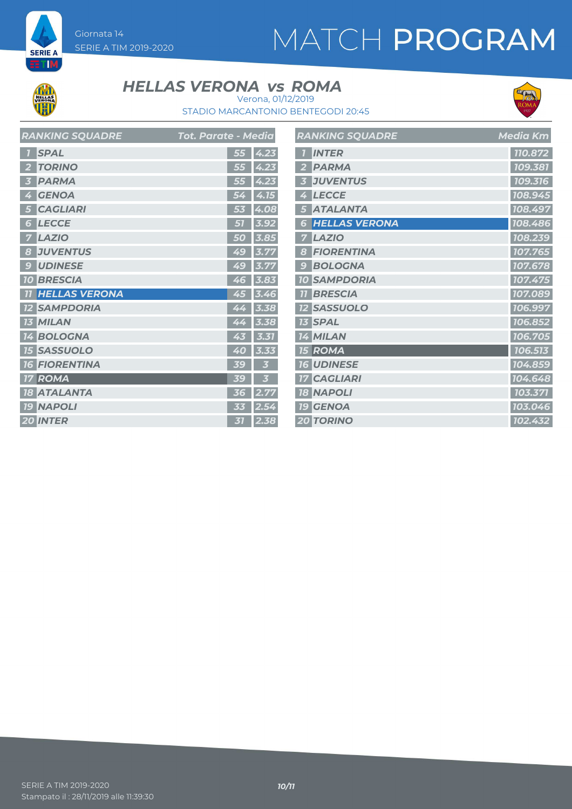Giornata 14 SERIE A TIM 2019-2020

# MATCH PROGRAM



**SERIE A ETM** 

#### **HELLAS VERONA vs ROMA**



STADIO MARCANTONIO BENTEGODI 20:45 Verona, 01/12/2019

|                 | <b>RANKING SQUADRE</b> | <b>Tot. Parate - Media</b> |      |
|-----------------|------------------------|----------------------------|------|
|                 | <b>SPAL</b>            | 55                         | 4.23 |
| $\overline{2}$  | <b>TORINO</b>          | 55                         | 4.23 |
| 51              | <b>PARMA</b>           | 55                         | 4.23 |
| Ø               | <b>GENOA</b>           | 54                         | 4.15 |
| 5               | <b>CAGLIARI</b>        | 53                         | 4.08 |
| 6               | <b>LECCE</b>           |                            | 3.9  |
| 7               | <b>LAZIO</b>           | 5<br>O                     | 3.8  |
| 8               | <b>JUVENTUS</b>        | 49                         | 3.77 |
| g               | <b>UDINESE</b>         | 49                         | 3.77 |
| 10 <sup>°</sup> | <b>BRESCIA</b>         | 46                         | 3.83 |
| 11              | <b>HELLAS VERONA</b>   | 45                         | 3.46 |
| 12              | <b>SAMPDORIA</b>       | 44                         | 3.38 |
| 73              | <b>MILAN</b>           | 44                         | 3.38 |
| 14              | <b>BOLOGNA</b>         | 43                         | 3.31 |
| 15 <sup>1</sup> | <b>SASSUOLO</b>        | 40                         | 3.33 |
| 76              | <b>FIORENTINA</b>      | 39                         | 3    |
| 17              | ROMA                   | 39                         | k    |
| 18              | <b>ATALANTA</b>        | 36                         | 2.77 |
|                 | <b>19 NAPOLI</b>       | 33                         | 2.54 |
|                 | <b>20 INTER</b>        | 31                         | 2.38 |

|                         | <b>RANKING SQUADRE</b> | <b>Media Km</b> |
|-------------------------|------------------------|-----------------|
| 7                       | <b>INTER</b>           | 110.872         |
| $\overline{2}$          | <b>PARMA</b>           | 109.381         |
| $\overline{\mathbf{3}}$ | <b>JUVENTUS</b>        | 109.316         |
| 4                       | <b>LECCE</b>           | 108.945         |
| 5                       | <b>ATALANTA</b>        | 108.497         |
| 6                       | <b>HELLAS VERONA</b>   | 108.486         |
| 7                       | <b>LAZIO</b>           | 108.239         |
| 8                       | <b>FIORENTINA</b>      | 107.765         |
| 9                       | <b>BOLOGNA</b>         | 107.678         |
|                         | <b>10 SAMPDORIA</b>    | 107.475         |
| 77                      | <b>BRESCIA</b>         | 107.089         |
|                         | <b>12 SASSUOLO</b>     | 106.997         |
|                         | <b>13 SPAL</b>         | 106.852         |
|                         | <b>14 MILAN</b>        | 106.705         |
|                         | <b>15 ROMA</b>         | 106.513         |
|                         | <b>16 UDINESE</b>      | 104.859         |
|                         | <b>17 CAGLIARI</b>     | 104.648         |
|                         | <b>18 NAPOLI</b>       | 103.371         |
|                         | <b>19 GENOA</b>        | 103.046         |
|                         | <b>20 TORINO</b>       | 102.432         |